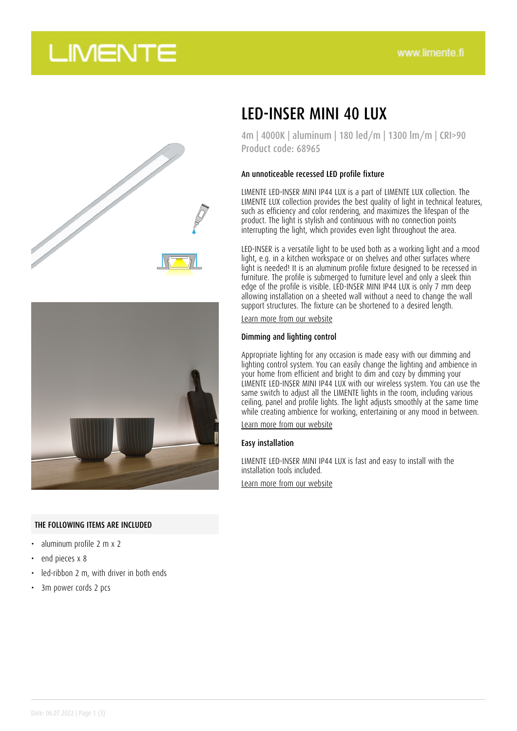# **LIMENTE**





### THE FOLLOWING ITEMS ARE INCLUDED

- aluminum profile 2 m x 2
- end pieces x 8
- led-ribbon 2 m, with driver in both ends
- 3m power cords 2 pcs

## LED-INSER MINI 40 LUX

4m | 4000K | aluminum | 180 led/m | 1300 lm/m | CRI>90 Product code: 68965

#### An unnoticeable recessed LED profile fixture

LIMENTE LED-INSER MINI IP44 LUX is a part of LIMENTE LUX collection. The LIMENTE LUX collection provides the best quality of light in technical features, such as efficiency and color rendering, and maximizes the lifespan of the product. The light is stylish and continuous with no connection points interrupting the light, which provides even light throughout the area.

LED-INSER is a versatile light to be used both as a working light and a mood light, e.g. in a kitchen workspace or on shelves and other surfaces where light is needed! It is an aluminum profile fixture designed to be recessed in furniture. The profile is submerged to furniture level and only a sleek thin edge of the profile is visible. LED-INSER MINI IP44 LUX is only 7 mm deep allowing installation on a sheeted wall without a need to change the wall support structures. The fixture can be shortened to a desired length.

[Learn more from our website](https://www.limente.fi/tuotteet/68965)

#### Dimming and lighting control

Appropriate lighting for any occasion is made easy with our dimming and lighting control system. You can easily change the lighting and ambience in your home from efficient and bright to dim and cozy by dimming your LIMENTE LED-INSER MINI IP44 LUX with our wireless system. You can use the same switch to adjust all the LIMENTE lights in the room, including various ceiling, panel and profile lights. The light adjusts smoothly at the same time while creating ambience for working, entertaining or any mood in between.

[Learn more from our website](https://www.limente.fi/tuotteet/68965)

#### Easy installation

LIMENTE LED-INSER MINI IP44 LUX is fast and easy to install with the installation tools included. [Learn more from our website](https://www.limente.fi/tuotteet/68965)

Date: 06.07.2022 | Page 1 (3)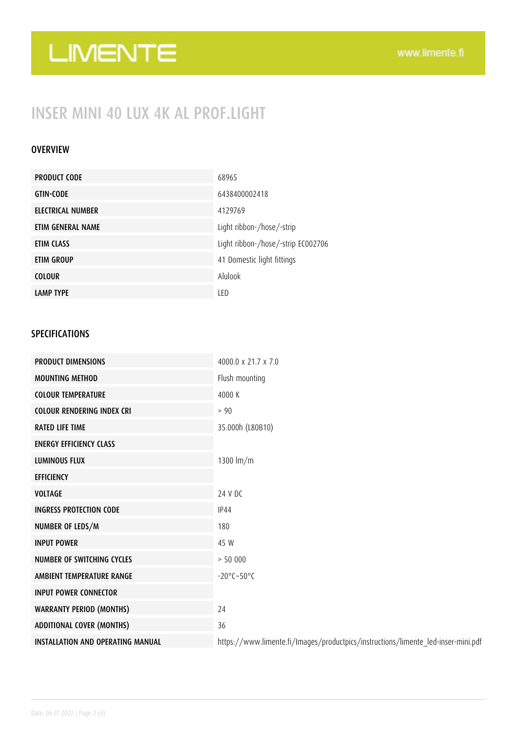# LIMENTE

## INSER MINI 40 LUX 4K AL PROF.LIGHT

### **OVERVIEW**

| <b>PRODUCT CODE</b> | 68965                              |
|---------------------|------------------------------------|
| <b>GTIN-CODE</b>    | 6438400002418                      |
| ELECTRICAL NUMBER   | 4129769                            |
| ETIM GENERAL NAME   | Light ribbon-/hose/-strip          |
| ETIM CLASS          | Light ribbon-/hose/-strip EC002706 |
| ETIM GROUP          | 41 Domestic light fittings         |
| <b>COLOUR</b>       | Alulook                            |
| <b>LAMP TYPE</b>    | LED                                |

### SPECIFICATIONS

| <b>PRODUCT DIMENSIONS</b>                | $4000.0 \times 21.7 \times 7.0$                                                   |
|------------------------------------------|-----------------------------------------------------------------------------------|
| <b>MOUNTING METHOD</b>                   | Flush mounting                                                                    |
| <b>COLOUR TEMPERATURE</b>                | 4000 K                                                                            |
| <b>COLOUR RENDERING INDEX CRI</b>        | > 90                                                                              |
| <b>RATED LIFE TIME</b>                   | 35.000h (L80B10)                                                                  |
| <b>ENERGY EFFICIENCY CLASS</b>           |                                                                                   |
| <b>LUMINOUS FLUX</b>                     | 1300 $Im/m$                                                                       |
| <b>EFFICIENCY</b>                        |                                                                                   |
| <b>VOLTAGE</b>                           | 24 V DC                                                                           |
| <b>INGRESS PROTECTION CODE</b>           | <b>IP44</b>                                                                       |
| NUMBER OF LEDS/M                         | 180                                                                               |
| <b>INPUT POWER</b>                       | 45 W                                                                              |
| <b>NUMBER OF SWITCHING CYCLES</b>        | > 50000                                                                           |
| AMBIENT TEMPERATURE RANGE                | $-20^{\circ}$ C $-50^{\circ}$ C                                                   |
| <b>INPUT POWER CONNECTOR</b>             |                                                                                   |
| <b>WARRANTY PERIOD (MONTHS)</b>          | 24                                                                                |
| <b>ADDITIONAL COVER (MONTHS)</b>         | 36                                                                                |
| <b>INSTALLATION AND OPERATING MANUAL</b> | https://www.limente.fi/Images/productpics/instructions/limente_led-inser-mini.pdf |